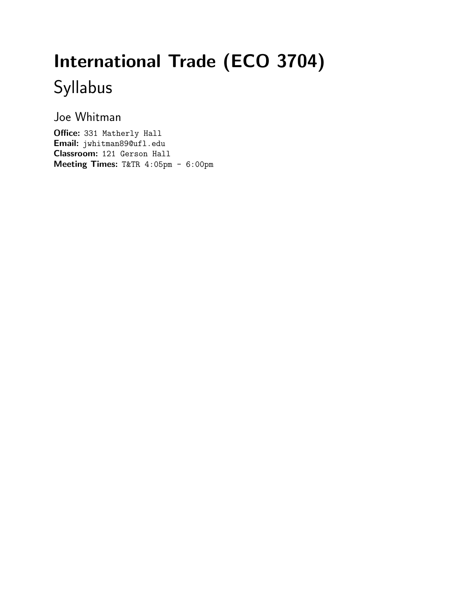# International Trade (ECO 3704) Syllabus

Joe Whitman

Office: 331 Matherly Hall Email: jwhitman89@ufl.edu Classroom: 121 Gerson Hall Meeting Times: T&TR 4:05pm - 6:00pm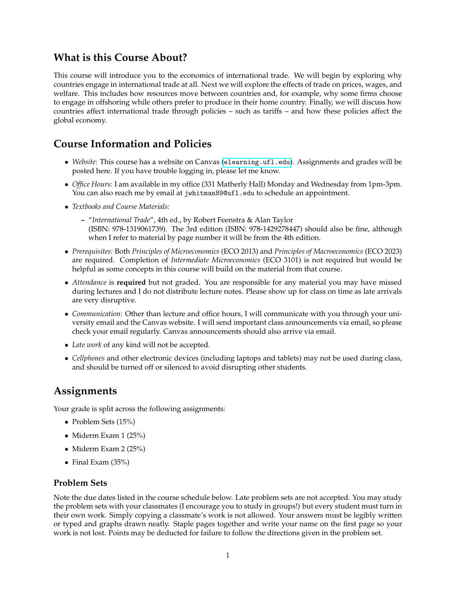## **What is this Course About?**

This course will introduce you to the economics of international trade. We will begin by exploring why countries engage in international trade at all. Next we will explore the effects of trade on prices, wages, and welfare. This includes how resources move between countries and, for example, why some firms choose to engage in offshoring while others prefer to produce in their home country. Finally, we will discuss how countries affect international trade through policies – such as tariffs – and how these policies affect the global economy.

## **Course Information and Policies**

- *Website:* This course has a website on Canvas (<elearning.ufl.edu>). Assignments and grades will be posted here. If you have trouble logging in, please let me know.
- *Office Hours:* I am available in my office (331 Matherly Hall) Monday and Wednesday from 1pm-3pm. You can also reach me by email at jwhitman89@ufl.edu to schedule an appointment.
- *Textbooks and Course Materials:*
	- **–** "*International Trade*", 4th ed., by Robert Feenstra & Alan Taylor (ISBN: 978-1319061739). The 3rd edition (ISBN: 978-1429278447) should also be fine, although when I refer to material by page number it will be from the 4th edition.
- *Prerequisites:* Both *Principles of Microeconomics* (ECO 2013) and *Principles of Macroeconomics* (ECO 2023) are required. Completion of *Intermediate Microeconomics* (ECO 3101) is not required but would be helpful as some concepts in this course will build on the material from that course.
- *Attendance* is **required** but not graded. You are responsible for any material you may have missed during lectures and I do not distribute lecture notes. Please show up for class on time as late arrivals are very disruptive.
- *Communication:* Other than lecture and office hours, I will communicate with you through your university email and the Canvas website. I will send important class announcements via email, so please check your email regularly. Canvas announcements should also arrive via email.
- *Late work* of any kind will not be accepted.
- *Cellphones* and other electronic devices (including laptops and tablets) may not be used during class, and should be turned off or silenced to avoid disrupting other students.

## **Assignments**

Your grade is split across the following assignments:

- Problem Sets (15%)
- Miderm Exam 1 (25%)
- Miderm Exam 2 (25%)
- Final Exam (35%)

#### **Problem Sets**

Note the due dates listed in the course schedule below. Late problem sets are not accepted. You may study the problem sets with your classmates (I encourage you to study in groups!) but every student must turn in their own work. Simply copying a classmate's work is not allowed. Your answers must be legibly written or typed and graphs drawn neatly. Staple pages together and write your name on the first page so your work is not lost. Points may be deducted for failure to follow the directions given in the problem set.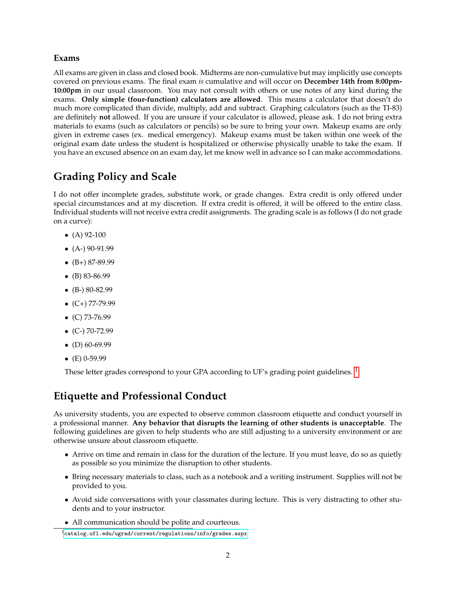#### **Exams**

All exams are given in class and closed book. Midterms are non-cumulative but may implicitly use concepts covered on previous exams. The final exam *is* cumulative and will occur on **December 14th from 8:00pm-10:00pm** in our usual classroom. You may not consult with others or use notes of any kind during the exams. **Only simple (four-function) calculators are allowed**. This means a calculator that doesn't do much more complicated than divide, multiply, add and subtract. Graphing calculators (such as the TI-83) are definitely **not** allowed. If you are unsure if your calculator is allowed, please ask. I do not bring extra materials to exams (such as calculators or pencils) so be sure to bring your own. Makeup exams are only given in extreme cases (ex. medical emergency). Makeup exams must be taken within one week of the original exam date unless the student is hospitalized or otherwise physically unable to take the exam. If you have an excused absence on an exam day, let me know well in advance so I can make accommodations.

## **Grading Policy and Scale**

I do not offer incomplete grades, substitute work, or grade changes. Extra credit is only offered under special circumstances and at my discretion. If extra credit is offered, it will be offered to the entire class. Individual students will not receive extra credit assignments. The grading scale is as follows (I do not grade on a curve):

- $(A)$  92-100
- $\bullet$  (A-) 90-91.99
- $\bullet$  (B+) 87-89.99
- $\bullet$  (B) 83-86.99
- $\bullet$  (B-) 80-82.99
- $\bullet$  (C+) 77-79.99
- $\bullet$  (C) 73-76.99
- $\bullet$  (C-) 70-72.99
- $\bullet$  (D) 60-69.99
- $(E)$  0-59.99

These letter grades correspond to your GPA according to UF's grading point guidelines.<sup>[1](#page-2-0)</sup>

## **Etiquette and Professional Conduct**

As university students, you are expected to observe common classroom etiquette and conduct yourself in a professional manner. **Any behavior that disrupts the learning of other students is unacceptable**. The following guidelines are given to help students who are still adjusting to a university environment or are otherwise unsure about classroom etiquette.

- Arrive on time and remain in class for the duration of the lecture. If you must leave, do so as quietly as possible so you minimize the disruption to other students.
- Bring necessary materials to class, such as a notebook and a writing instrument. Supplies will not be provided to you.
- Avoid side conversations with your classmates during lecture. This is very distracting to other students and to your instructor.
- All communication should be polite and courteous.

<span id="page-2-0"></span><sup>1</sup><catalog.ufl.edu/ugrad/current/regulations/info/grades.aspx>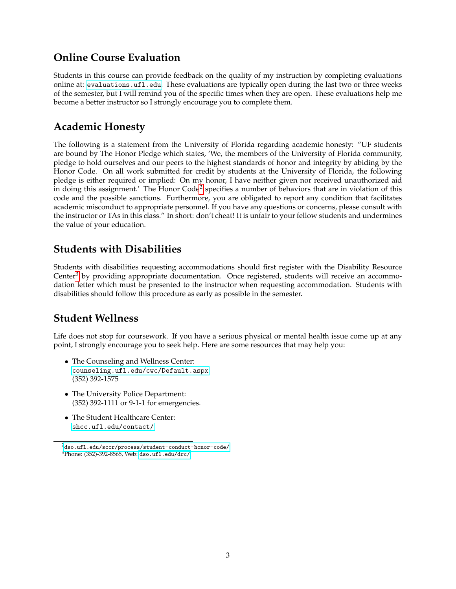## **Online Course Evaluation**

Students in this course can provide feedback on the quality of my instruction by completing evaluations online at: <evaluations.ufl.edu>. These evaluations are typically open during the last two or three weeks of the semester, but I will remind you of the specific times when they are open. These evaluations help me become a better instructor so I strongly encourage you to complete them.

## **Academic Honesty**

The following is a statement from the University of Florida regarding academic honesty: "UF students are bound by The Honor Pledge which states, 'We, the members of the University of Florida community, pledge to hold ourselves and our peers to the highest standards of honor and integrity by abiding by the Honor Code. On all work submitted for credit by students at the University of Florida, the following pledge is either required or implied: On my honor, I have neither given nor received unauthorized aid in doing this assignment.' The Honor Code<sup>[2](#page-3-0)</sup> specifies a number of behaviors that are in violation of this code and the possible sanctions. Furthermore, you are obligated to report any condition that facilitates academic misconduct to appropriate personnel. If you have any questions or concerns, please consult with the instructor or TAs in this class." In short: don't cheat! It is unfair to your fellow students and undermines the value of your education.

## **Students with Disabilities**

Students with disabilities requesting accommodations should first register with the Disability Resource Center<sup>[3](#page-3-1)</sup> by providing appropriate documentation. Once registered, students will receive an accommodation letter which must be presented to the instructor when requesting accommodation. Students with disabilities should follow this procedure as early as possible in the semester.

## **Student Wellness**

Life does not stop for coursework. If you have a serious physical or mental health issue come up at any point, I strongly encourage you to seek help. Here are some resources that may help you:

- The Counseling and Wellness Center: <counseling.ufl.edu/cwc/Default.aspx> (352) 392-1575
- The University Police Department: (352) 392-1111 or 9-1-1 for emergencies.
- The Student Healthcare Center: <shcc.ufl.edu/contact/>

<span id="page-3-1"></span><span id="page-3-0"></span> $^{2}$ <dso.ufl.edu/sccr/process/student-conduct-honor-code/> <sup>3</sup>Phone: (352)-392-8565, Web: <dso.ufl.edu/drc/>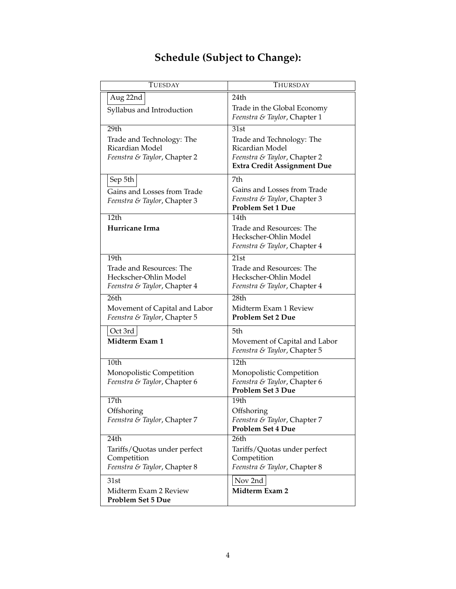| <b>TUESDAY</b>                                    | THURSDAY                                                           |
|---------------------------------------------------|--------------------------------------------------------------------|
| Aug 22nd                                          | 24th                                                               |
| Syllabus and Introduction                         | Trade in the Global Economy<br>Feenstra & Taylor, Chapter 1        |
| 29 <sub>th</sub>                                  | 31st                                                               |
| Trade and Technology: The                         | Trade and Technology: The                                          |
| Ricardian Model                                   | Ricardian Model                                                    |
| Feenstra & Taylor, Chapter 2                      | Feenstra & Taylor, Chapter 2<br><b>Extra Credit Assignment Due</b> |
|                                                   |                                                                    |
| Sep 5th                                           | 7th                                                                |
| Gains and Losses from Trade                       | Gains and Losses from Trade<br>Feenstra & Taylor, Chapter 3        |
| Feenstra & Taylor, Chapter 3                      | Problem Set 1 Due                                                  |
| 12 <sub>th</sub>                                  | $\overline{1}4th$                                                  |
| Hurricane Irma                                    | Trade and Resources: The                                           |
|                                                   | Heckscher-Ohlin Model                                              |
|                                                   | Feenstra & Taylor, Chapter 4                                       |
| 19th                                              | 21st                                                               |
| Trade and Resources: The<br>Heckscher-Ohlin Model | Trade and Resources: The<br>Heckscher-Ohlin Model                  |
| Feenstra & Taylor, Chapter 4                      | Feenstra & Taylor, Chapter 4                                       |
| 26 <sub>th</sub>                                  | 28 <sub>th</sub>                                                   |
| Movement of Capital and Labor                     | Midterm Exam 1 Review                                              |
| Feenstra & Taylor, Chapter 5                      | <b>Problem Set 2 Due</b>                                           |
| Oct 3rd                                           | 5th                                                                |
| Midterm Exam 1                                    | Movement of Capital and Labor                                      |
|                                                   | Feenstra & Taylor, Chapter 5                                       |
| 10th                                              | 12 <sub>th</sub>                                                   |
| Monopolistic Competition                          | Monopolistic Competition                                           |
| Feenstra & Taylor, Chapter 6                      | Feenstra & Taylor, Chapter 6<br><b>Problem Set 3 Due</b>           |
| 17th                                              | 19th                                                               |
| Offshoring                                        | Offshoring                                                         |
| Feenstra & Taylor, Chapter 7                      | Feenstra & Taylor, Chapter 7                                       |
|                                                   | <b>Problem Set 4 Due</b>                                           |
| 24th                                              | 26 <sub>th</sub>                                                   |
| Tariffs/Quotas under perfect                      | Tariffs/Quotas under perfect                                       |
| Competition<br>Feenstra & Taylor, Chapter 8       | Competition<br>Feenstra & Taylor, Chapter 8                        |
|                                                   |                                                                    |
| 31st                                              | Nov 2nd                                                            |
| Midterm Exam 2 Review<br><b>Problem Set 5 Due</b> | Midterm Exam 2                                                     |

## **Schedule (Subject to Change):**